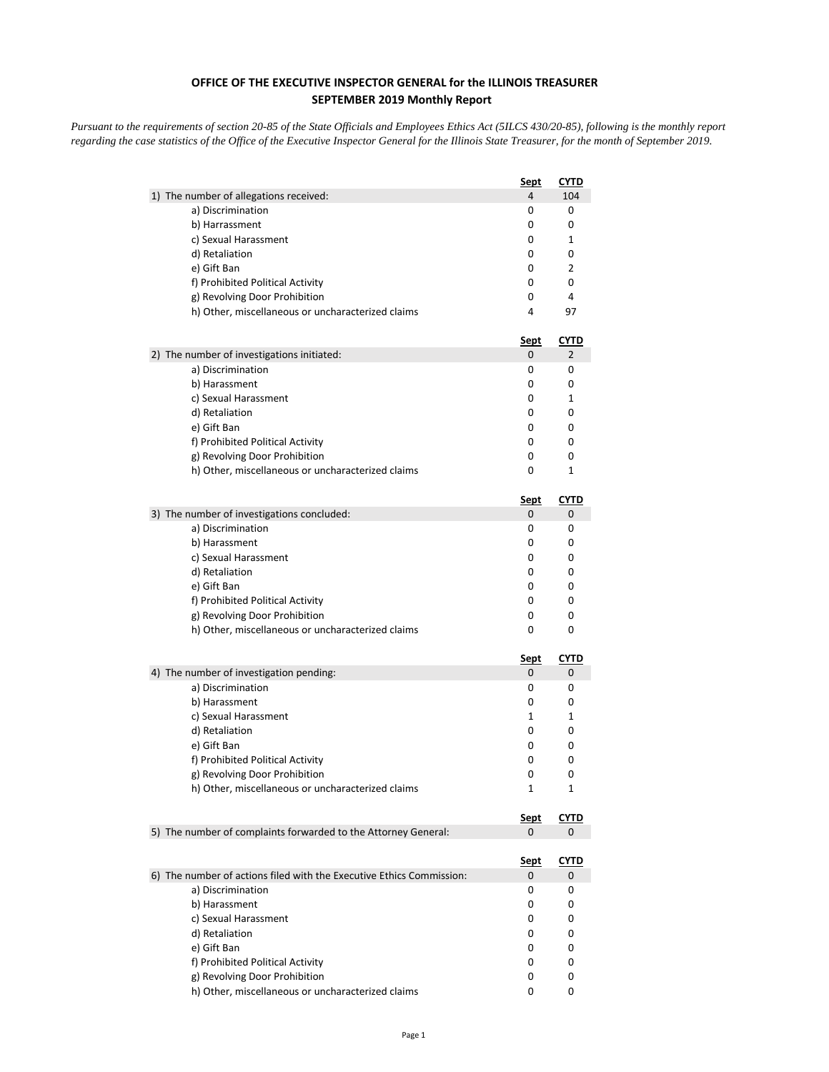## **OFFICE OF THE EXECUTIVE INSPECTOR GENERAL for the ILLINOIS TREASURER SEPTEMBER 2019 Monthly Report**

*Pursuant to the requirements of section 20-85 of the State Officials and Employees Ethics Act (5ILCS 430/20-85), following is the monthly report regarding the case statistics of the Office of the Executive Inspector General for the Illinois State Treasurer, for the month of September 2019.* 

|                                                                      | Sept        | <b>CYTD</b> |
|----------------------------------------------------------------------|-------------|-------------|
| 1) The number of allegations received:                               | 4           | 104         |
| a) Discrimination                                                    | 0           | 0           |
| b) Harrassment                                                       | 0           | 0           |
| c) Sexual Harassment                                                 | 0           | 1           |
| d) Retaliation                                                       | 0           | 0           |
| e) Gift Ban                                                          | 0           | 2           |
| f) Prohibited Political Activity                                     | 0           | 0           |
| g) Revolving Door Prohibition                                        | 0           | 4           |
| h) Other, miscellaneous or uncharacterized claims                    | 4           | 97          |
|                                                                      | <u>Sept</u> | <u>CYTD</u> |
| 2) The number of investigations initiated:                           | 0           | 2           |
| a) Discrimination                                                    | 0           | 0           |
| b) Harassment                                                        | 0           | 0           |
| c) Sexual Harassment                                                 | 0           | 1           |
| d) Retaliation                                                       | 0           | 0           |
| e) Gift Ban                                                          | 0           | 0           |
| f) Prohibited Political Activity                                     | 0           | 0           |
| g) Revolving Door Prohibition                                        | 0           | 0           |
| h) Other, miscellaneous or uncharacterized claims                    | 0           | 1           |
|                                                                      | Sept        | <b>CYTD</b> |
| 3) The number of investigations concluded:                           | 0           | 0           |
| a) Discrimination                                                    | 0           | 0           |
| b) Harassment                                                        | 0           | 0           |
| c) Sexual Harassment                                                 | 0           | 0           |
| d) Retaliation                                                       | 0           | 0           |
| e) Gift Ban                                                          | 0           | 0           |
| f) Prohibited Political Activity                                     | 0           | 0           |
| g) Revolving Door Prohibition                                        | 0           | 0           |
| h) Other, miscellaneous or uncharacterized claims                    | 0           | 0           |
|                                                                      | <u>Sept</u> | <b>CYTD</b> |
| 4) The number of investigation pending:                              | 0           | 0           |
| a) Discrimination                                                    | 0           | 0           |
| b) Harassment                                                        | 0           | 0           |
| c) Sexual Harassment                                                 | 1           | 1           |
| d) Retaliation                                                       | 0           | 0           |
| e) Gift Ban                                                          | 0           | 0           |
| f) Prohibited Political Activity                                     | 0           | 0           |
| g) Revolving Door Prohibition                                        | 0           | 0           |
| h) Other, miscellaneous or uncharacterized claims                    | 1           | 1           |
|                                                                      | <u>Sept</u> | <b>CYTD</b> |
| 5) The number of complaints forwarded to the Attorney General:       | 0           | 0           |
|                                                                      | <u>Sept</u> | <u>CYTD</u> |
| 6) The number of actions filed with the Executive Ethics Commission: | 0           | 0           |
| a) Discrimination                                                    | 0           | 0           |
| b) Harassment                                                        | 0           | 0           |
| c) Sexual Harassment                                                 | 0           | 0           |
| d) Retaliation                                                       | 0           | 0           |
| e) Gift Ban                                                          | 0           | 0           |
| f) Prohibited Political Activity                                     | 0           | 0           |
| g) Revolving Door Prohibition                                        | 0           | 0           |
| h) Other, miscellaneous or uncharacterized claims                    | 0           | 0           |